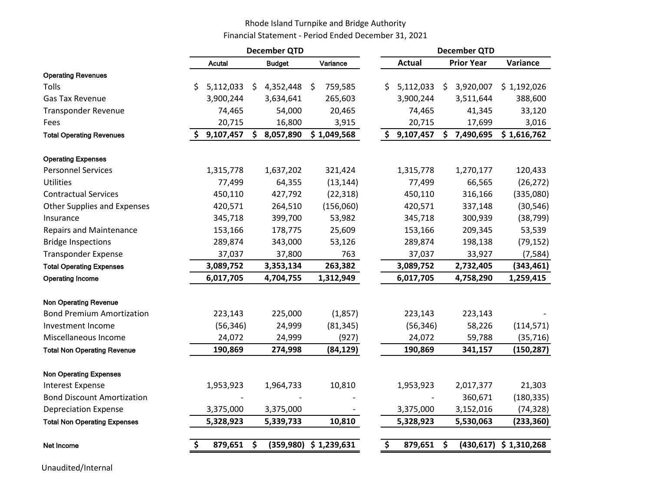## Rhode Island Turnpike and Bridge Authority Financial Statement - Period Ended December 31, 2021

|                                     |                 |     | <b>December QTD</b> |    |             | <b>December QTD</b> |    |                   |                          |  |
|-------------------------------------|-----------------|-----|---------------------|----|-------------|---------------------|----|-------------------|--------------------------|--|
|                                     | <b>Acutal</b>   |     | <b>Budget</b>       |    | Variance    | <b>Actual</b>       |    | <b>Prior Year</b> | Variance                 |  |
| <b>Operating Revenues</b>           |                 |     |                     |    |             |                     |    |                   |                          |  |
| Tolls                               | \$<br>5,112,033 | \$. | 4,352,448           | Ŝ. | 759,585     | \$<br>5,112,033     | \$ | 3,920,007         | \$1,192,026              |  |
| <b>Gas Tax Revenue</b>              | 3,900,244       |     | 3,634,641           |    | 265,603     | 3,900,244           |    | 3,511,644         | 388,600                  |  |
| <b>Transponder Revenue</b>          | 74,465          |     | 54,000              |    | 20,465      | 74,465              |    | 41,345            | 33,120                   |  |
| Fees                                | 20,715          |     | 16,800              |    | 3,915       | 20,715              |    | 17,699            | 3,016                    |  |
| <b>Total Operating Revenues</b>     | 9,107,457       | \$  | 8,057,890           |    | \$1,049,568 | \$<br>9,107,457     |    | \$7,490,695       | \$1,616,762              |  |
| <b>Operating Expenses</b>           |                 |     |                     |    |             |                     |    |                   |                          |  |
| <b>Personnel Services</b>           | 1,315,778       |     | 1,637,202           |    | 321,424     | 1,315,778           |    | 1,270,177         | 120,433                  |  |
| <b>Utilities</b>                    | 77,499          |     | 64,355              |    | (13, 144)   | 77,499              |    | 66,565            | (26, 272)                |  |
| <b>Contractual Services</b>         | 450,110         |     | 427,792             |    | (22, 318)   | 450,110             |    | 316,166           | (335,080)                |  |
| <b>Other Supplies and Expenses</b>  | 420,571         |     | 264,510             |    | (156,060)   | 420,571             |    | 337,148           | (30, 546)                |  |
| Insurance                           | 345,718         |     | 399,700             |    | 53,982      | 345,718             |    | 300,939           | (38, 799)                |  |
| <b>Repairs and Maintenance</b>      | 153,166         |     | 178,775             |    | 25,609      | 153,166             |    | 209,345           | 53,539                   |  |
| <b>Bridge Inspections</b>           | 289,874         |     | 343,000             |    | 53,126      | 289,874             |    | 198,138           | (79, 152)                |  |
| <b>Transponder Expense</b>          | 37,037          |     | 37,800              |    | 763         | 37,037              |    | 33,927            | (7, 584)                 |  |
| <b>Total Operating Expenses</b>     | 3,089,752       |     | 3,353,134           |    | 263,382     | 3,089,752           |    | 2,732,405         | (343, 461)               |  |
| <b>Operating Income</b>             | 6,017,705       |     | 4,704,755           |    | 1,312,949   | 6,017,705           |    | 4,758,290         | 1,259,415                |  |
| <b>Non Operating Revenue</b>        |                 |     |                     |    |             |                     |    |                   |                          |  |
| <b>Bond Premium Amortization</b>    | 223,143         |     | 225,000             |    | (1,857)     | 223,143             |    | 223,143           |                          |  |
| Investment Income                   | (56, 346)       |     | 24,999              |    | (81, 345)   | (56, 346)           |    | 58,226            | (114, 571)               |  |
| Miscellaneous Income                | 24,072          |     | 24,999              |    | (927)       | 24,072              |    | 59,788            | (35, 716)                |  |
| <b>Total Non Operating Revenue</b>  | 190,869         |     | 274,998             |    | (84,129)    | 190,869             |    | 341,157           | (150, 287)               |  |
| <b>Non Operating Expenses</b>       |                 |     |                     |    |             |                     |    |                   |                          |  |
| <b>Interest Expense</b>             | 1,953,923       |     | 1,964,733           |    | 10,810      | 1,953,923           |    | 2,017,377         | 21,303                   |  |
| <b>Bond Discount Amortization</b>   |                 |     |                     |    |             |                     |    | 360,671           | (180, 335)               |  |
| <b>Depreciation Expense</b>         | 3,375,000       |     | 3,375,000           |    |             | 3,375,000           |    | 3,152,016         | (74, 328)                |  |
| <b>Total Non Operating Expenses</b> | 5,328,923       |     | 5,339,733           |    | 10,810      | 5,328,923           |    | 5,530,063         | (233, 360)               |  |
| Net Income                          | 879,651         | \$  | (359, 980)          |    | \$1,239,631 | \$<br>879,651       | \$ |                   | $(430,617)$ \$ 1,310,268 |  |

Unaudited/Internal